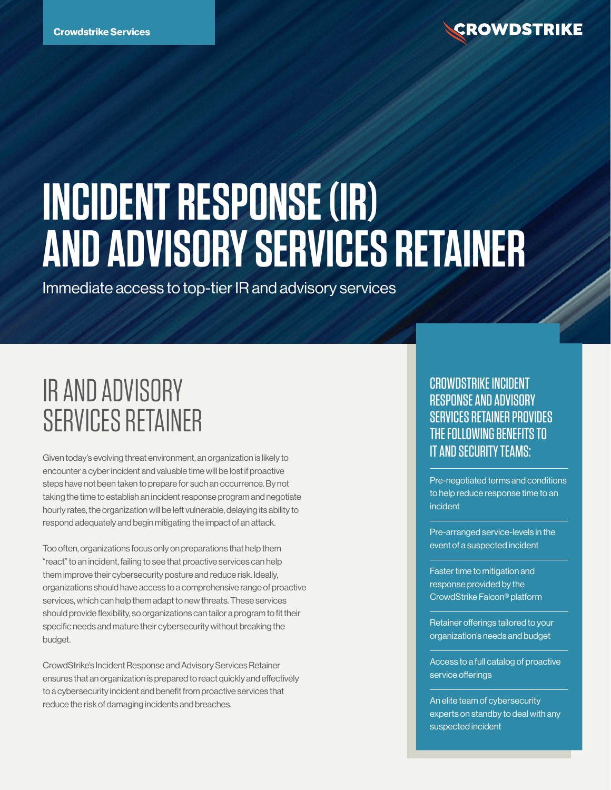# **INCIDENT RESPONSE (IR) AND ADVISORY SERVICES RETAINER**

Immediate access to top-tier IR and advisory services

# IR AND ADVISORY SERVICES RETAINER

Given today's evolving threat environment, an organization is likely to encounter a cyber incident and valuable time will be lost if proactive steps have not been taken to prepare for such an occurrence. By not taking the time to establish an incident response program and negotiate hourly rates, the organization will be left vulnerable, delaying its ability to respond adequately and begin mitigating the impact of an attack.

Too often, organizations focus only on preparations that help them "react" to an incident, failing to see that proactive services can help them improve their cybersecurity posture and reduce risk. Ideally, organizations should have access to a comprehensive range of proactive services, which can help them adapt to new threats. These services should provide flexibility, so organizations can tailor a program to fit their specific needs and mature their cybersecurity without breaking the budget.

CrowdStrike's Incident Response and Advisory Services Retainer ensures that an organization is prepared to react quickly and effectively to a cybersecurity incident and benefit from proactive services that reduce the risk of damaging incidents and breaches.

#### CROWDSTRIKE INCIDENT RESPONSE AND ADVISORY SERVICES RETAINER PROVIDES THE FOLLOWING BENEFITS TO IT AND SECURITY TEAMS:

Pre-negotiated terms and conditions to help reduce response time to an incident

Pre-arranged service-levels in the event of a suspected incident

Faster time to mitigation and response provided by the CrowdStrike Falcon® platform

Retainer offerings tailored to your organization's needs and budget

Access to a full catalog of proactive service offerings

An elite team of cybersecurity experts on standby to deal with any suspected incident